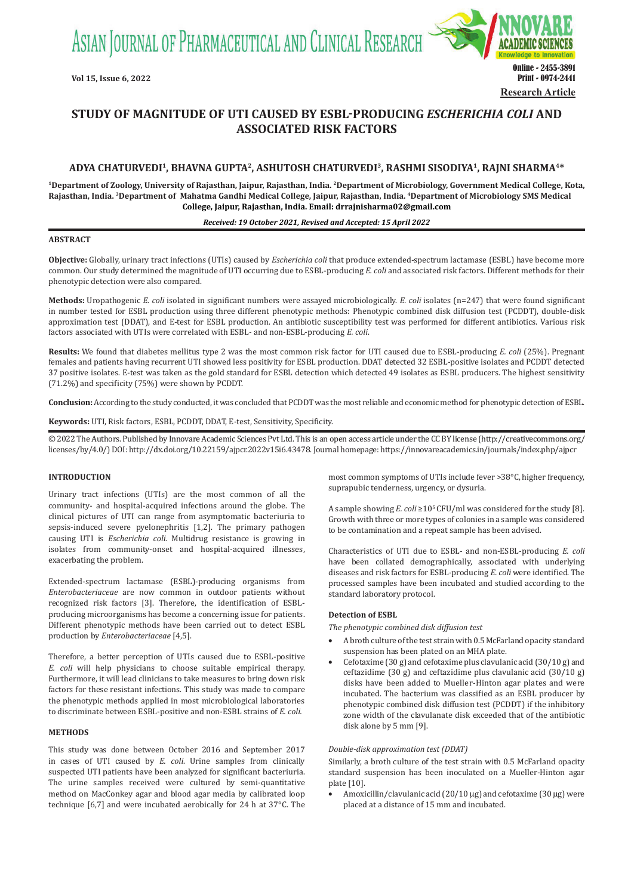ASIAN JOURNAL OF PHARMACEUTICAL AND CLINICAL RESEARCH



# **STUDY OF MAGNITUDE OF UTI CAUSED BY ESBL-PRODUCING** *ESCHERICHIA COLI* **AND ASSOCIATED RISK FACTORS**

# **ADYA CHATURVEDI<sup>1</sup>, BHAVNA GUPTA<sup>2</sup>, ASHUTOSH CHATURVEDI<sup>3</sup>, RASHMI SISODIYA<sup>1</sup>, RAJNI SHARMA4\***

**<sup>1</sup>Department of Zoology, University of Rajasthan, Jaipur, Rajasthan, India. <sup>2</sup>Department of Microbiology, Government Medical College, Kota, Rajasthan, India. <sup>3</sup> Department of Mahatma Gandhi Medical College, Jaipur, Rajasthan, India. <sup>4</sup> Department of Microbiology SMS Medical College, Jaipur, Rajasthan, India. Email: drrajnisharma02@gmail.com**

#### *Received: 19 October 2021, Revised and Accepted: 15 April 2022*

# **ABSTRACT**

**Objective:** Globally, urinary tract infections (UTIs) caused by *Escherichia coli* that produce extended-spectrum lactamase (ESBL) have become more common. Our study determined the magnitude of UTI occurring due to ESBL-producing *E. coli* and associated risk factors. Different methods for their phenotypic detection were also compared.

**Methods:** Uropathogenic *E. coli* isolated in significant numbers were assayed microbiologically. *E. coli* isolates (n=247) that were found significant in number tested for ESBL production using three different phenotypic methods: Phenotypic combined disk diffusion test (PCDDT), double-disk approximation test (DDAT), and E-test for ESBL production. An antibiotic susceptibility test was performed for different antibiotics. Various risk factors associated with UTIs were correlated with ESBL- and non-ESBL-producing *E. coli*.

**Results:** We found that diabetes mellitus type 2 was the most common risk factor for UTI caused due to ESBL-producing *E. coli* (25%). Pregnant females and patients having recurrent UTI showed less positivity for ESBL production. DDAT detected 32 ESBL-positive isolates and PCDDT detected 37 positive isolates. E-test was taken as the gold standard for ESBL detection which detected 49 isolates as ESBL producers. The highest sensitivity (71.2%) and specificity (75%) were shown by PCDDT.

**Conclusion:** According to the study conducted, it was concluded that PCDDT was the most reliable and economic method for phenotypic detection of ESBL.

**Keywords:** UTI, Risk factors, ESBL, PCDDT, DDAT, E-test, Sensitivity, Specificity.

© 2022 The Authors. Published by Innovare Academic Sciences Pvt Ltd. This is an open access article under the CC BY license (http://creativecommons.org/ licenses/by/4.0/) DOI: http://dx.doi.org/10.22159/ajpcr.2022v15i6.43478. Journal homepage: https://innovareacademics.in/journals/index.php/ajpcr

## **INTRODUCTION**

Urinary tract infections (UTIs) are the most common of all the community- and hospital-acquired infections around the globe. The clinical pictures of UTI can range from asymptomatic bacteriuria to sepsis-induced severe pyelonephritis [1,2]. The primary pathogen causing UTI is *Escherichia coli*. Multidrug resistance is growing in isolates from community-onset and hospital-acquired illnesses, exacerbating the problem.

Extended-spectrum lactamase (ESBL)-producing organisms from *Enterobacteriaceae* are now common in outdoor patients without recognized risk factors [3]. Therefore, the identification of ESBLproducing microorganisms has become a concerning issue for patients. Different phenotypic methods have been carried out to detect ESBL production by *Enterobacteriaceae* [4,5].

Therefore, a better perception of UTIs caused due to ESBL-positive *E. coli* will help physicians to choose suitable empirical therapy. Furthermore, it will lead clinicians to take measures to bring down risk factors for these resistant infections. This study was made to compare the phenotypic methods applied in most microbiological laboratories to discriminate between ESBL-positive and non-ESBL strains of *E. coli.*

#### **METHODS**

This study was done between October 2016 and September 2017 in cases of UTI caused by *E. coli*. Urine samples from clinically suspected UTI patients have been analyzed for significant bacteriuria. The urine samples received were cultured by semi-quantitative method on MacConkey agar and blood agar media by calibrated loop technique [6,7] and were incubated aerobically for 24 h at 37°C. The most common symptoms of UTIs include fever >38°C, higher frequency, suprapubic tenderness, urgency, or dysuria.

A sample showing *E. coli* ≥10<sup>5</sup> CFU/ml was considered for the study [8]. Growth with three or more types of colonies in a sample was considered to be contamination and a repeat sample has been advised.

Characteristics of UTI due to ESBL- and non-ESBL-producing *E. coli*  have been collated demographically, associated with underlying diseases and risk factors for ESBL-producing *E. coli* were identified. The processed samples have been incubated and studied according to the standard laboratory protocol.

## **Detection of ESBL**

*The phenotypic combined disk diffusion test*

- • A broth culture of the test strain with 0.5 McFarland opacity standard suspension has been plated on an MHA plate.
- Cefotaxime (30 g) and cefotaxime plus clavulanic acid (30/10 g) and ceftazidime (30 g) and ceftazidime plus clavulanic acid (30/10 g) disks have been added to Mueller-Hinton agar plates and were incubated. The bacterium was classified as an ESBL producer by phenotypic combined disk diffusion test (PCDDT) if the inhibitory zone width of the clavulanate disk exceeded that of the antibiotic disk alone by 5 mm [9].

# *Double-disk approximation test (DDAT)*

Similarly, a broth culture of the test strain with 0.5 McFarland opacity standard suspension has been inoculated on a Mueller-Hinton agar plate [10].

Amoxicillin/clavulanic acid  $(20/10 \mu g)$  and cefotaxime  $(30 \mu g)$  were placed at a distance of 15 mm and incubated.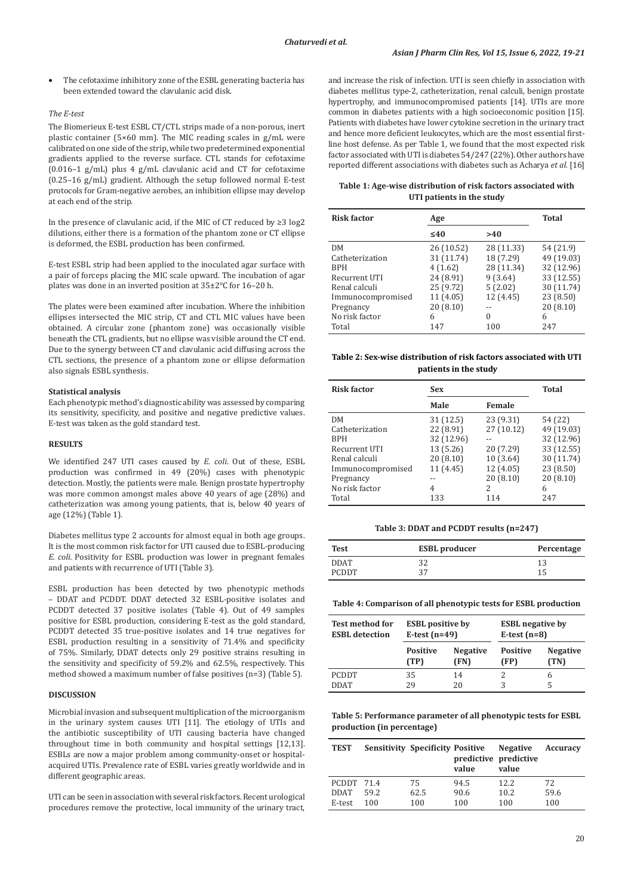The cefotaxime inhibitory zone of the ESBL generating bacteria has been extended toward the clavulanic acid disk.

### *The E-test*

The Biomerieux E-test ESBL CT/CTL strips made of a non-porous, inert plastic container (5×60 mm). The MIC reading scales in g/mL were calibrated on one side of the strip, while two predetermined exponential gradients applied to the reverse surface. CTL stands for cefotaxime (0.016–1 g/mL) plus 4 g/mL clavulanic acid and CT for cefotaxime (0.25–16 g/mL) gradient. Although the setup followed normal E-test protocols for Gram-negative aerobes, an inhibition ellipse may develop at each end of the strip.

In the presence of clavulanic acid, if the MIC of CT reduced by ≥3 log2 dilutions, either there is a formation of the phantom zone or CT ellipse is deformed, the ESBL production has been confirmed.

E-test ESBL strip had been applied to the inoculated agar surface with a pair of forceps placing the MIC scale upward. The incubation of agar plates was done in an inverted position at 35±2°C for 16–20 h.

The plates were been examined after incubation. Where the inhibition ellipses intersected the MIC strip, CT and CTL MIC values have been obtained. A circular zone (phantom zone) was occasionally visible beneath the CTL gradients, but no ellipse was visible around the CT end. Due to the synergy between CT and clavulanic acid diffusing across the CTL sections, the presence of a phantom zone or ellipse deformation also signals ESBL synthesis.

# **Statistical analysis**

Each phenotypic method's diagnostic ability was assessed by comparing its sensitivity, specificity, and positive and negative predictive values. E-test was taken as the gold standard test.

#### **RESULTS**

We identified 247 UTI cases caused by *E. coli*. Out of these, ESBL production was confirmed in 49 (20%) cases with phenotypic detection. Mostly, the patients were male. Benign prostate hypertrophy was more common amongst males above 40 years of age (28%) and catheterization was among young patients, that is, below 40 years of age (12%) (Table 1).

Diabetes mellitus type 2 accounts for almost equal in both age groups. It is the most common risk factor for UTI caused due to ESBL-producing *E. coli.* Positivity for ESBL production was lower in pregnant females and patients with recurrence of UTI (Table 3).

ESBL production has been detected by two phenotypic methods – DDAT and PCDDT. DDAT detected 32 ESBL-positive isolates and PCDDT detected 37 positive isolates (Table 4). Out of 49 samples positive for ESBL production, considering E-test as the gold standard, PCDDT detected 35 true-positive isolates and 14 true negatives for ESBL production resulting in a sensitivity of 71.4% and specificity of 75%. Similarly, DDAT detects only 29 positive strains resulting in the sensitivity and specificity of 59.2% and 62.5%, respectively. This method showed a maximum number of false positives (n=3) (Table 5).

# **DISCUSSION**

Microbial invasion and subsequent multiplication of the microorganism in the urinary system causes UTI [11]. The etiology of UTIs and the antibiotic susceptibility of UTI causing bacteria have changed throughout time in both community and hospital settings [12,13]. ESBLs are now a major problem among community-onset or hospitalacquired UTIs. Prevalence rate of ESBL varies greatly worldwide and in different geographic areas.

UTI can be seen in association with several risk factors. Recent urological procedures remove the protective, local immunity of the urinary tract, and increase the risk of infection. UTI is seen chiefly in association with diabetes mellitus type-2, catheterization, renal calculi, benign prostate hypertrophy, and immunocompromised patients [14]. UTIs are more common in diabetes patients with a high socioeconomic position [15]. Patients with diabetes have lower cytokine secretion in the urinary tract and hence more deficient leukocytes, which are the most essential firstline host defense. As per Table 1, we found that the most expected risk factor associated with UTI is diabetes 54/247 (22%). Other authors have reported different associations with diabetes such as Acharya *et al.* [16]

#### **Table 1: Age‑wise distribution of risk factors associated with UTI patients in the study**

| <b>Risk factor</b> | Age        |            | <b>Total</b> |
|--------------------|------------|------------|--------------|
|                    | $\leq 40$  | >40        |              |
| <b>DM</b>          | 26 (10.52) | 28 (11.33) | 54 (21.9)    |
| Catheterization    | 31 (11.74) | 18 (7.29)  | 49 (19.03)   |
| <b>RPH</b>         | 4(1.62)    | 28 (11.34) | 32 (12.96)   |
| Recurrent UTI      | 24 (8.91)  | 9(3.64)    | 33 (12.55)   |
| Renal calculi      | 25 (9.72)  | 5(2.02)    | 30 (11.74)   |
| Immunocompromised  | 11(4.05)   | 12 (4.45)  | 23 (8.50)    |
| Pregnancy          | 20 (8.10)  |            | 20(8.10)     |
| No risk factor     | 6          | $\Omega$   | 6            |
| Total              | 147        | 100        | 247          |

## **Table 2: Sex‑wise distribution of risk factors associated with UTI patients in the study**

| <b>Risk factor</b> | <b>Sex</b> |                          | <b>Total</b> |
|--------------------|------------|--------------------------|--------------|
|                    | Male       | Female                   |              |
| <b>DM</b>          | 31(12.5)   | 23 (9.31)                | 54 (22)      |
| Catheterization    | 22 (8.91)  | 27 (10.12)               | 49 (19.03)   |
| <b>RPH</b>         | 32 (12.96) |                          | 32 (12.96)   |
| Recurrent UTI      | 13 (5.26)  | 20 (7.29)                | 33 (12.55)   |
| Renal calculi      | 20(8.10)   | 10 (3.64)                | 30 (11.74)   |
| Immunocompromised  | 11 (4.45)  | 12 (4.05)                | 23 (8.50)    |
| Pregnancy          |            | 20(8.10)                 | 20(8.10)     |
| No risk factor     | 4          | $\overline{\mathcal{L}}$ | 6            |
| Total              | 133        | 114                      | 247          |

## **Table 3: DDAT and PCDDT results (n=247)**

| Test        | <b>ESBL</b> producer | Percentage |
|-------------|----------------------|------------|
| <b>DDAT</b> | າາ<br>ے د            | 13         |
| PCDDT       | つワ                   |            |

**Table 4: Comparison of all phenotypic tests for ESBL production**

| <b>Test method for</b>      | <b>ESBL</b> positive by |                 | <b>ESBL</b> negative by |                 |
|-----------------------------|-------------------------|-----------------|-------------------------|-----------------|
| <b>ESBL</b> detection       | E-test $(n=49)$         |                 | E-test $(n=8)$          |                 |
|                             | <b>Positive</b>         | <b>Negative</b> | <b>Positive</b>         | <b>Negative</b> |
|                             | (TP)                    | (FN)            | (FP)                    | (TN)            |
| <b>PCDDT</b><br><b>DDAT</b> | 35<br>29                | 14<br>20        | 3                       | 6               |

**Table 5: Performance parameter of all phenotypic tests for ESBL production (in percentage)**

| <b>TEST</b> |      | <b>Sensitivity Specificity Positive</b> | value | <b>Negative</b><br>predictive predictive<br>value | Accuracy |
|-------------|------|-----------------------------------------|-------|---------------------------------------------------|----------|
| PCDDT 71.4  |      | 75                                      | 94.5  | 12.2                                              | 72       |
| <b>DDAT</b> | 59.2 | 62.5                                    | 90.6  | 10.2                                              | 59.6     |
| E-test      | 100  | 100                                     | 100   | 100                                               | 100      |